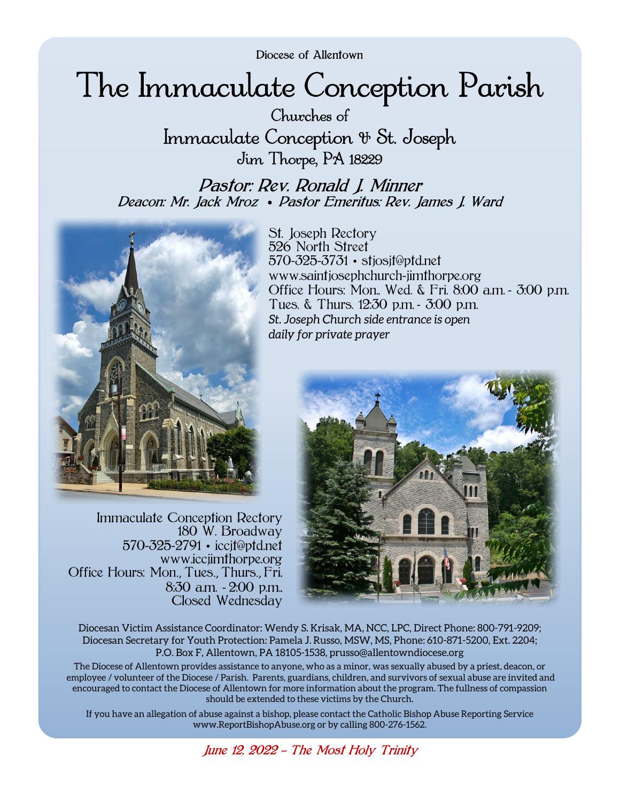Diocese of Allentown

# The Immaculate Conception Parish

Churches of Immaculate Conception & St. Joseph Jim Thorpe, PA 18229

Pastor: Rev. Ronald J. Minner Deacon: Mr. Jack Mroz • Pastor Emeritus: Rev. James J. Ward



Immaculate Conception Rectory 180 W. Broadway 570-325-2791 • iccjt@ptd.net www.iccjimthorpe.org Office Hours: Mon., Tues., Thurs., Fri, 8:30 a.m. - 2:00 p.m., Closed Wednesday

St. Joseph Rectory 526 North Street 570-325-3731 • stjosjt@ptd.net www.saintjosephchurch-jimthorpe.org Office Hours: Mon., Wed. & Fri. 8:00 a.m. - 3:00 p.m. Tues. & Thurs. 12:30 p.m. - 3:00 p.m. *St. Joseph Church side entrance is open daily for private prayer* 



Diocesan Victim Assistance Coordinator: Wendy S. Krisak, MA, NCC, LPC, Direct Phone: 800-791-9209; Diocesan Secretary for Youth Protection: Pamela J. Russo, MSW, MS, Phone: 610-871-5200, Ext. 2204; P.O. Box F, Allentown, PA 18105-1538, prusso@allentowndiocese.org

The Diocese of Allentown provides assistance to anyone, who as a minor, was sexually abused by a priest, deacon, or employee / volunteer of the Diocese / Parish. Parents, guardians, children, and survivors of sexual abuse are invited and encouraged to contact the Diocese of Allentown for more information about the program. The fullness of compassion should be extended to these victims by the Church.

If you have an allegation of abuse against a bishop, please contact the Catholic Bishop Abuse Reporting Service www.ReportBishopAbuse.org or by calling 800-276-1562.

June 12, 2022 *~* The Most Holy Trinity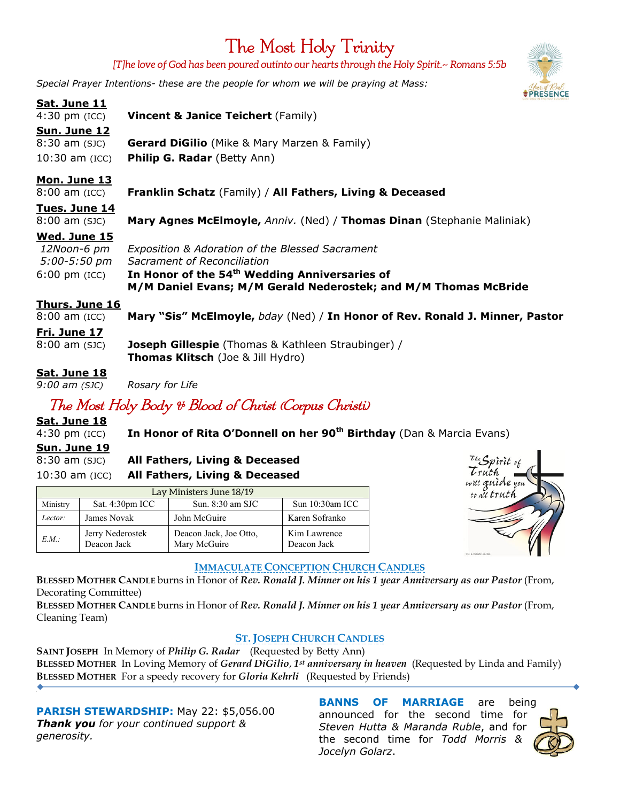# The Most Holy Trinity

*[T]he love of God has been poured outinto our hearts through the Holy Spirit.~ Romans 5:5b* 

*Special Prayer Intentions- these are the people for whom we will be praying at Mass:*

| Sat. June 11       | CINTERED IN THE HOLY EUCHARD                                                 |
|--------------------|------------------------------------------------------------------------------|
| $4:30$ pm (ICC)    | <b>Vincent &amp; Janice Teichert (Family)</b>                                |
| Sun. June 12       |                                                                              |
| $8:30$ am $(SJC)$  | <b>Gerard DiGilio</b> (Mike & Mary Marzen & Family)                          |
| $10:30$ am $(ICC)$ | <b>Philip G. Radar (Betty Ann)</b>                                           |
| Mon. June 13       |                                                                              |
| $8:00$ am $(ICC)$  | <b>Franklin Schatz</b> (Family) / All Fathers, Living & Deceased             |
| Tues. June 14      |                                                                              |
| $8:00$ am $(SJC)$  | Mary Agnes McElmoyle, Anniv. (Ned) / Thomas Dinan (Stephanie Maliniak)       |
| Wed. June 15       |                                                                              |
| 12Noon-6 pm        | Exposition & Adoration of the Blessed Sacrament                              |
| $5:00 - 5:50$ pm   | Sacrament of Reconciliation                                                  |
| $6:00$ pm (ICC)    | In Honor of the 54 <sup>th</sup> Wedding Anniversaries of                    |
|                    | M/M Daniel Evans; M/M Gerald Nederostek; and M/M Thomas McBride              |
| Thurs. June 16     |                                                                              |
| $8:00$ am $(ICC)$  | Mary "Sis" McElmoyle, bday (Ned) / In Honor of Rev. Ronald J. Minner, Pastor |
| Fri. June 17       |                                                                              |
| $8:00$ am $(SJC)$  | <b>Joseph Gillespie</b> (Thomas & Kathleen Straubinger) /                    |
|                    | <b>Thomas Klitsch</b> (Joe & Jill Hydro)                                     |
| Sat. June 18       |                                                                              |
| $9:00$ am $(SJC)$  | Rosary for Life                                                              |

# The Most Holy Body & Blood of Christ (Corpus Christi)

**Sat. June 18**

4:30 pm (ICC) **In Honor of Rita O'Donnell on her 90th Birthday** (Dan & Marcia Evans)

#### **Sun. June 19**

8:30 am (SJC) **All Fathers, Living & Deceased**  10:30 am (ICC) **All Fathers, Living & Deceased**

| Lay Ministers June 18/19 |                                 |                                        |                             |  |
|--------------------------|---------------------------------|----------------------------------------|-----------------------------|--|
| Ministry                 | Sat. 4:30pm ICC                 | Sun. $8:30$ am SJC                     | Sun 10:30am ICC             |  |
| Lector:                  | James Novak                     | John McGuire                           | Karen Sofranko              |  |
| EM:                      | Jerry Nederostek<br>Deacon Jack | Deacon Jack, Joe Otto,<br>Mary McGuire | Kim Lawrence<br>Deacon Jack |  |



#### **IMMACULATE CONCEPTION CHURCH CANDLES**

**BLESSED MOTHER CANDLE** burns in Honor of *Rev. Ronald J. Minner on his 1 year Anniversary as our Pastor* (From, Decorating Committee)

**BLESSED MOTHER CANDLE** burns in Honor of *Rev. Ronald J. Minner on his 1 year Anniversary as our Pastor* (From, Cleaning Team)

## **ST. JOSEPH CHURCH CANDLES**

**SAINT JOSEPH** In Memory of *Philip G. Radar* (Requested by Betty Ann) **BLESSED MOTHER** In Loving Memory of *Gerard DiGilio*, *1st anniversary in heaven* (Requested by Linda and Family) **BLESSED MOTHER** For a speedy recovery for *Gloria Kehrli* (Requested by Friends)

**PARISH STEWARDSHIP:** May 22: \$5,056.00 *Thank you for your continued support & generosity.* 

**BANNS OF MARRIAGE** are being announced for the second time for *Steven Hutta & Maranda Ruble*, and for the second time for *Todd Morris & Jocelyn Golarz*.